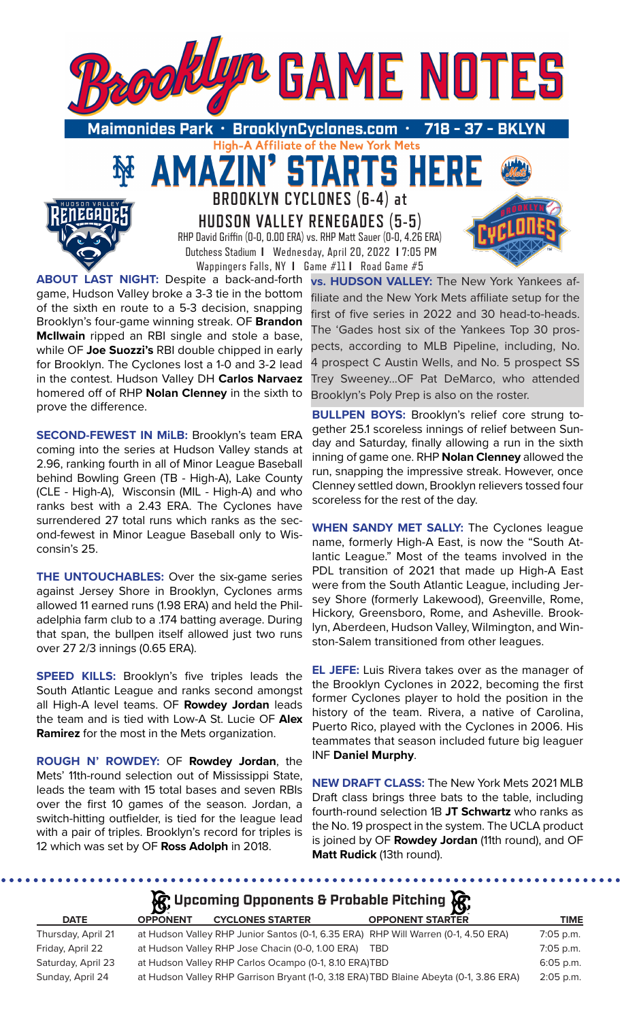

High-A Affiliate of the New York Mets

STARTS HER

Maimonides Park • BrooklynCyclones.com 718

> **BROOKLYN CYCLONES (6-4) at HUDSON VALLEY RENEGADES (5-5)** RHP David Griffin (0-0, 0.00 ERA) vs. RHP Matt Sauer (0-0, 4.26 ERA) Dutchess Stadium **I** Wednesday, April 20, 2022 **I** 7:05 PM Wappingers Falls, NY **I** Game #11 **I** Road Game #5

**ABOUT LAST NIGHT:** Despite a back-and-forth game, Hudson Valley broke a 3-3 tie in the bottom of the sixth en route to a 5-3 decision, snapping Brooklyn's four-game winning streak. OF **Brandon McIlwain** ripped an RBI single and stole a base, while OF **Joe Suozzi's** RBI double chipped in early for Brooklyn. The Cyclones lost a 1-0 and 3-2 lead in the contest. Hudson Valley DH **Carlos Narvaez**  homered off of RHP **Nolan Clenney** in the sixth to prove the difference.

AMA

**SECOND-FEWEST IN MiLB:** Brooklyn's team ERA coming into the series at Hudson Valley stands at 2.96, ranking fourth in all of Minor League Baseball behind Bowling Green (TB - High-A), Lake County (CLE - High-A), Wisconsin (MIL - High-A) and who ranks best with a 2.43 ERA. The Cyclones have surrendered 27 total runs which ranks as the second-fewest in Minor League Baseball only to Wisconsin's 25.

**THE UNTOUCHABLES:** Over the six-game series against Jersey Shore in Brooklyn, Cyclones arms allowed 11 earned runs (1.98 ERA) and held the Philadelphia farm club to a .174 batting average. During that span, the bullpen itself allowed just two runs over 27 2/3 innings (0.65 ERA).

**SPEED KILLS:** Brooklyn's five triples leads the South Atlantic League and ranks second amongst all High-A level teams. OF **Rowdey Jordan** leads the team and is tied with Low-A St. Lucie OF **Alex Ramirez** for the most in the Mets organization.

**ROUGH N' ROWDEY:** OF **Rowdey Jordan**, the Mets' 11th-round selection out of Mississippi State, leads the team with 15 total bases and seven RBIs over the first 10 games of the season. Jordan, a switch-hitting outfielder, is tied for the league lead with a pair of triples. Brooklyn's record for triples is 12 which was set by OF **Ross Adolph** in 2018.

**vs. HUDSON VALLEY:** The New York Yankees affiliate and the New York Mets affiliate setup for the first of five series in 2022 and 30 head-to-heads. The 'Gades host six of the Yankees Top 30 prospects, according to MLB Pipeline, including, No. 4 prospect C Austin Wells, and No. 5 prospect SS Trey Sweeney...OF Pat DeMarco, who attended Brooklyn's Poly Prep is also on the roster.

**BULLPEN BOYS:** Brooklyn's relief core strung together 25.1 scoreless innings of relief between Sunday and Saturday, finally allowing a run in the sixth inning of game one. RHP **Nolan Clenney** allowed the run, snapping the impressive streak. However, once Clenney settled down, Brooklyn relievers tossed four scoreless for the rest of the day.

**WHEN SANDY MET SALLY:** The Cyclones league name, formerly High-A East, is now the "South Atlantic League." Most of the teams involved in the PDL transition of 2021 that made up High-A East were from the South Atlantic League, including Jersey Shore (formerly Lakewood), Greenville, Rome, Hickory, Greensboro, Rome, and Asheville. Brooklyn, Aberdeen, Hudson Valley, Wilmington, and Winston-Salem transitioned from other leagues.

**EL JEFE:** Luis Rivera takes over as the manager of the Brooklyn Cyclones in 2022, becoming the first former Cyclones player to hold the position in the history of the team. Rivera, a native of Carolina, Puerto Rico, played with the Cyclones in 2006. His teammates that season included future big leaguer INF **Daniel Murphy**.

**NEW DRAFT CLASS:** The New York Mets 2021 MLB Draft class brings three bats to the table, including fourth-round selection 1B **JT Schwartz** who ranks as the No. 19 prospect in the system. The UCLA product is joined by OF **Rowdey Jordan** (11th round), and OF **Matt Rudick** (13th round).

|                    |                 | $\mathcal{G}$ , Upcoming Opponents & Probable Pitching $\mathcal{G}$               |                                                                                        |             |
|--------------------|-----------------|------------------------------------------------------------------------------------|----------------------------------------------------------------------------------------|-------------|
| <b>DATE</b>        | <b>OPPONENT</b> | <b>CYCLONES STARTER</b>                                                            | <b>OPPONENT STARTER</b>                                                                | <b>TIME</b> |
| Thursday, April 21 |                 | at Hudson Valley RHP Junior Santos (0-1, 6.35 ERA) RHP Will Warren (0-1, 4.50 ERA) |                                                                                        | 7:05 p.m.   |
| Friday, April 22   |                 | at Hudson Valley RHP Jose Chacin (0-0, 1.00 ERA) TBD                               |                                                                                        | 7:05 p.m.   |
| Saturday, April 23 |                 | at Hudson Valley RHP Carlos Ocampo (0-1, 8.10 ERA)TBD                              |                                                                                        | 6:05 p.m.   |
| Sunday, April 24   |                 |                                                                                    | at Hudson Valley RHP Garrison Bryant (1-0, 3.18 ERA) TBD Blaine Abeyta (0-1, 3.86 ERA) | $2:05$ p.m. |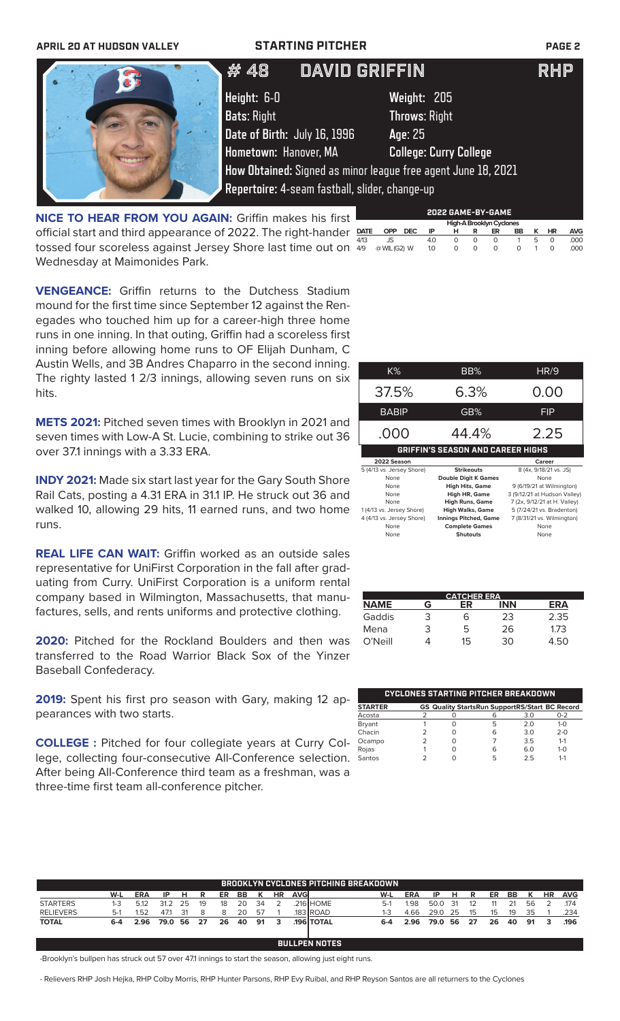| <b>APRIL 20 AT HUDSON VALLEY</b> |                              | <b>STARTING PITCHER</b>                        |                                                               | <b>PAGE 2</b> |
|----------------------------------|------------------------------|------------------------------------------------|---------------------------------------------------------------|---------------|
|                                  | # 48                         | <b>DAVID GRIFFIN</b>                           |                                                               | <b>RHP</b>    |
|                                  | Height: 6-0                  |                                                | Weight: 205                                                   |               |
|                                  | <b>Bats: Right</b>           |                                                | <b>Throws: Right</b>                                          |               |
|                                  | Date of Birth: July 16, 1996 |                                                | Age: 25                                                       |               |
|                                  | Hometown: Hanover, MA        |                                                | <b>College: Curry College</b>                                 |               |
|                                  |                              |                                                | How Obtained: Signed as minor league free agent June 18, 2021 |               |
|                                  |                              | Repertoire: 4-seam fastball, slider, change-up |                                                               |               |

**NICE TO HEAR FROM YOU AGAIN:** Griffin makes his first official start and third appearance of 2022. The right-hander tossed four scoreless against Jersey Shore last time out on Wednesday at Maimonides Park.

|             |              |      |                  |   |   | 2022 GAME-BY-GAME        |    |   |                                    |            |
|-------------|--------------|------|------------------|---|---|--------------------------|----|---|------------------------------------|------------|
|             |              |      |                  |   |   | High-A Brooklyn Cyclones |    |   |                                    |            |
| <b>DATE</b> | OPP          | DEC. | ΙP               |   | R | ER                       | BB |   | HR                                 | <b>AVG</b> |
| 4/13        | JS.          |      | 4.0              | O | Ω | O                        |    | b |                                    | .000       |
| 4/9         | @ WIL (G2) W |      | 1.0 <sub>2</sub> | Ο | O | O                        | O  |   | $\scriptstyle\rm\scriptstyle{(1)}$ | ,000       |

**VENGEANCE:** Griffin returns to the Dutchess Stadium mound for the first time since September 12 against the Renegades who touched him up for a career-high three home runs in one inning. In that outing, Griffin had a scoreless first inning before allowing home runs to OF Elijah Dunham, C Austin Wells, and 3B Andres Chaparro in the second inning. The righty lasted 1 2/3 innings, allowing seven runs on six hits.

**METS 2021:** Pitched seven times with Brooklyn in 2021 and seven times with Low-A St. Lucie, combining to strike out 36 over 37.1 innings with a 3.33 ERA.

**INDY 2021:** Made six start last year for the Gary South Shore Rail Cats, posting a 4.31 ERA in 31.1 IP. He struck out 36 and walked 10, allowing 29 hits, 11 earned runs, and two home runs.

**REAL LIFE CAN WAIT:** Griffin worked as an outside sales representative for UniFirst Corporation in the fall after graduating from Curry. UniFirst Corporation is a uniform rental company based in Wilmington, Massachusetts, that manufactures, sells, and rents uniforms and protective clothing.

**2020:** Pitched for the Rockland Boulders and then was transferred to the Road Warrior Black Sox of the Yinzer Baseball Confederacy.

**2019:** Spent his first pro season with Gary, making 12 appearances with two starts.

**COLLEGE :** Pitched for four collegiate years at Curry College, collecting four-consecutive All-Conference selection. After being All-Conference third team as a freshman, was a three-time first team all-conference pitcher.

| K%                        | BB%                                      | <b>HR/9</b>                                      |
|---------------------------|------------------------------------------|--------------------------------------------------|
| 37.5%                     | 6.3%                                     | 0.00                                             |
| <b>BABIP</b>              | GB%                                      | <b>FIP</b>                                       |
| .000                      | 44.4%                                    | 2.25                                             |
|                           | <b>GRIFFIN'S SEASON AND CAREER HIGHS</b> |                                                  |
| 2022 Season               |                                          | Career                                           |
| 5 (4/13 vs. Jersey Shore) | <b>Strikeouts</b>                        | 8 (4x, 9/18/21 vs. JS)                           |
| None                      | <b>Double Digit K Games</b>              | None                                             |
| $\cdots$                  |                                          | $\sim$ $\sim$ $\sim$ $\sim$ $\sim$ $\sim$ $\sim$ |

| 11011                     | <b>PURIC PRINT OUTILES</b>   | .                            |
|---------------------------|------------------------------|------------------------------|
| None                      | <b>High Hits, Game</b>       | 9 (6/19/21 at Wilmington)    |
| None                      | High HR, Game                | 3 (9/12/21 at Hudson Valley) |
| None                      | <b>High Runs, Game</b>       | 7 (2x, 9/12/21 at H. Valley) |
| 1(4/13 vs. Jersey Shore)  | <b>High Walks, Game</b>      | 5 (7/24/21 vs. Bradenton)    |
| 4 (4/13 vs. Jersey Shore) | <b>Innings Pitched, Game</b> | 7 (8/31/21 vs. Wilmington)   |
| None                      | <b>Complete Games</b>        | None                         |
| None                      | <b>Shutouts</b>              | None                         |
|                           |                              |                              |

|             |   | <b>CATCHER ERA</b> |     |      |
|-------------|---|--------------------|-----|------|
| <b>NAME</b> | G | ΕR                 | INN | ERA  |
| Gaddis      | 3 | 6                  | 23  | 2.35 |
| Mena        | 3 | 5                  | 26  | 1.73 |
| $O'$ Neill  |   | 15                 | 30  | 4.50 |

|                |   |   | <b>CYCLONES STARTING PITCHER BREAKDOWN</b>            |     |         |
|----------------|---|---|-------------------------------------------------------|-----|---------|
| <b>STARTER</b> |   |   | <b>GS Quality StartsRun SupportRS/Start BC Record</b> |     |         |
| Acosta         |   |   |                                                       | 3.0 | $0 - 2$ |
| Bryant         |   |   | 5                                                     | 20  | $1 - 0$ |
| Chacin         | っ | Ω | 6                                                     | 3.0 | $2 - 0$ |
| Ocampo         | っ | Ω |                                                       | 3.5 | $1 - 1$ |
| Rojas          |   |   |                                                       | 6.0 | $1 - 0$ |
| Santos         |   |   | г,                                                    | 25  | $1 - 1$ |

|                  |         |            |      |    |    |    |    |    |    |             | BROOKLYN CYCLONES PITCHING BREAKDOWN. |         |            |      |     |     |    |     |    |           |            |
|------------------|---------|------------|------|----|----|----|----|----|----|-------------|---------------------------------------|---------|------------|------|-----|-----|----|-----|----|-----------|------------|
|                  | W-L     | <b>ERA</b> | ΙP   | н  | R  | ER | BB |    | HR | <b>AVGI</b> |                                       | W-L     | <b>ERA</b> | ΙP   | н   | R.  | ER | BB. |    | <b>HR</b> | <b>AVG</b> |
| <b>STARTERS</b>  | $1-3$   | 5.12       | 31.2 | 25 | 19 | 18 | 20 | 34 |    |             | .216 HOME                             | $5-1$   | I.98       | 50.0 | -31 | 12  |    | 21  | 56 |           | 174        |
| <b>RELIEVERS</b> | $5-1$   | 1.52       | 47.1 | 31 |    | 8  | 20 | 57 |    |             | 183 ROAD                              | 1-3     | 4.66       | 29.0 | -25 | 15  | 15 | 19  | 35 |           | .234       |
| <b>TOTAL</b>     | $6 - 4$ | 2.96       | 79.0 | 56 | 27 | 26 | 40 | 91 | 3  |             | <b>196 TOTAL</b>                      | $6 - 4$ | 2.96       | 79.0 | 56  | -27 | 26 | 40  | 91 | з         | .196       |
|                  |         |            |      |    |    |    |    |    |    |             |                                       |         |            |      |     |     |    |     |    |           |            |
|                  |         |            |      |    |    |    |    |    |    |             | <b>BULLPEN NOTES</b>                  |         |            |      |     |     |    |     |    |           |            |

-Brooklyn's bullpen has struck out 57 over 47.1 innings to start the season, allowing just eight runs.

- Relievers RHP Josh Hejka, RHP Colby Morris, RHP Hunter Parsons, RHP Evy Ruibal, and RHP Reyson Santos are all returners to the Cyclones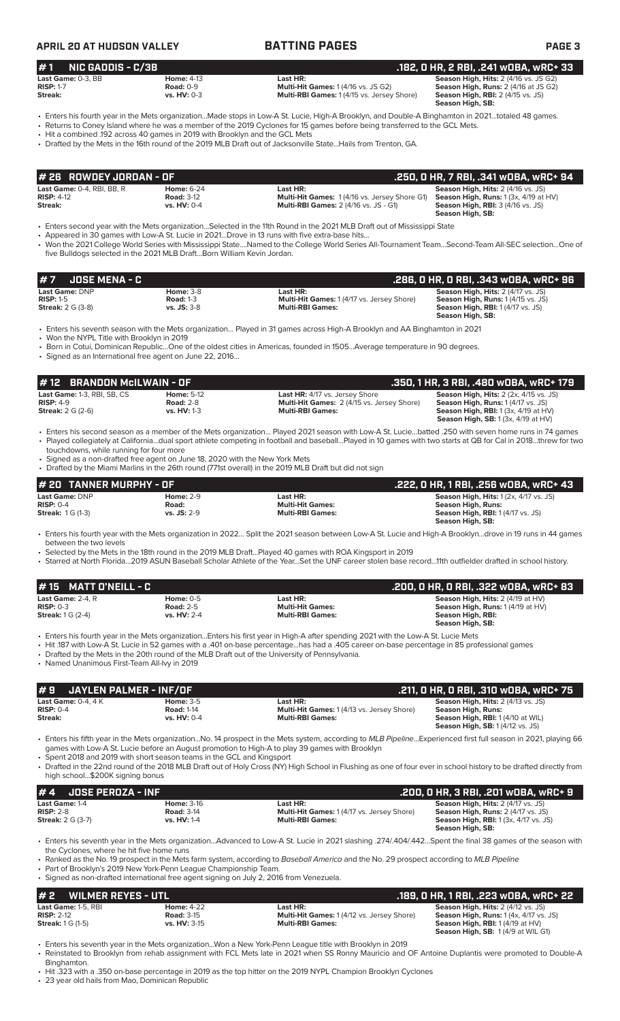### **APRIL 20 AT HUDSON VALLEY BATTING PAGES PAGE 3 # 7 JOSE MENA - C .286, 0 HR, 0 RBI, .343 wOBA, wRC+ 96 Last Game: DNP Home:** 3-8 **Last HR: Season High, Hits:** 2 (4/17 vs. JS)<br> **RISP:** 1-5 **Road:** 1-3 **Road: 1-3 Multi-Hit Games:** 1 (4/17 vs. Jersey Shore) **Season High, Runs:** 1 (4/15 vs. JS)<br> **Streak:** 2 G (3-8) **vs. JS RISP:** 1-5 **Road:** 1-3 **Multi-Hit Games:** 1 (4/17 vs. Jersey Shore) **Season High, Runs:** 1 (4/15 vs. JS) **Streak:** 2 G (3-8) **vs. JS:** 3-8 **Multi-RBI Games: Season High, RBI:** 1 (4/17 vs. JS) **Season High, SB:**  • Enters his seventh season with the Mets organization… Played in 31 games across High-A Brooklyn and AA Binghamton in 2021 • Won the NYPL Title with Brooklyn in 2019 • Born in Cotui, Dominican Republic…One of the oldest cities in Americas, founded in 1505…Average temperature in 90 degrees. • Signed as an International free agent on June 22, 2016… **Last Game: DNP Home: 2-9 Last HR: Last HR: Season High, Hits:** 1 (2x, 4/17 vs. JS)<br> **RISP:** 0-4 **Road: Righ, Runs: Righ, Runs: Righ, Runs: RISP:** 0-4 **Righ, Runs: Righ, Runs: Righ, Runs: Righ, Runs: RISP:** 0-4 **Road: Multi-Hit Games: Season High, Runs: Season High, RBI:** 1 (4/17 vs. JS) **Season High, SB:**  • Enters his fourth year with the Mets organization in 2022… Split the 2021 season between Low-A St. Lucie and High-A Brooklyn…drove in 19 runs in 44 games between the two levels • Selected by the Mets in the 18th round in the 2019 MLB Draft…Played 40 games with ROA Kingsport in 2019 • Starred at North Florida…2019 ASUN Baseball Scholar Athlete of the Year…Set the UNF career stolen base record…11th outfielder drafted in school history. **# 20 TANNER MURPHY - OF .222, 0 HR, 1 RBI, .256 wOBA, wRC+ 43 # 1 NIC GADDIS - C/3B .182, 0 HR, 2 RBI, .241 wOBA, wRC+ 33 Last Game:** 0-3, BB **Home:** 4-13 **Last HR: Season High, Hits:** 2 (4/16 vs. JS G2) **Season High, Hits:** 2 (4/16 vs. JS G2) **Season High, Hits:** 2 (4/16 vs. JS G2) **RISP:** 1-7 **Road:** 0-9 **Multi-Hit Games:** 1 (4/16 vs. JS G2) **Season High, Runs:** 2 (4/16 at JS G2) **Multi-RBI Games: 1 (4/15 vs. Jersey Shore) Season High, SB:**  • Enters his fourth year in the Mets organization...Made stops in Low-A St. Lucie, High-A Brooklyn, and Double-A Binghamton in 2021…totaled 48 games. • Returns to Coney Island where he was a member of the 2019 Cyclones for 15 games before being transferred to the GCL Mets. • Hit a combined .192 across 40 games in 2019 with Brooklyn and the GCL Mets • Drafted by the Mets in the 16th round of the 2019 MLB Draft out of Jacksonville State...Hails from Trenton, GA. **Last Game:** 0-4, RBI, BB, R **Home:** 6-24 **Last HR: Season High, Hits:** 2 (4/16 vs. JS) **RISP:** 4-12 **Road:** 3-12 **Multi-Hit Games:** 1 (4/16 vs. Jersey Shore G1) **Season High, Runs:** 1 (3x, 4/19 at HV) **Streak:** vs. HV: 0-4 **Read:** 3-12 **Multi-RBI Games:** 2 (4/16 vs. Jersey Streak: 1 (4/16 vs. Jersey Streak: 1 (4/16 vs. JS) **Season High, SB:**  • Enters second year with the Mets organization…Selected in the 11th Round in the 2021 MLB Draft out of Mississippi State • Appeared in 30 games with Low-A St. Lucie in 2021…Drove in 13 runs with five extra-base hits… • Won the 2021 College World Series with Mississippi State….Named to the College World Series All-Tournament Team…Second-Team All-SEC selection…One of five Bulldogs selected in the 2021 MLB Draft…Born William Kevin Jordan. **# 26 ROWDEY JORDAN - OF .250, 0 HR, 7 RBI, .341 wOBA, wRC+ 94 Last Game:** 1-3, RBI, SB, CS **Home:** 5-12 **Last HR:** 4/17 vs. Jersey Shore **Season High, Hits:** 2 (2x, 4/15 vs. JS) **RISP:** 4-9 **Road:** 2-8 **Multi-Hit Games:** 2 (4/15 vs. Jersey Shore) **Season High, Runs:** 1 (4/17 vs. JS) **Streak: 2** G (2-6)<br> **Streak: 2 G** (2-6)<br> **vs. HV:** 1-3 **Multi-RBI Games: Multi-RBI Games: Season High, RBI:** 1 (3x, 4/19 at HV) **Season High, SB:** 1 (3x, 4/19 at HV) • Enters his second season as a member of the Mets organization… Played 2021 season with Low-A St. Lucie…batted .250 with seven home runs in 74 games • Played collegiately at California…dual sport athlete competing in football and baseball…Played in 10 games with two starts at QB for Cal in 2018…threw for two touchdowns, while running for four more Signed as a non-drafted free agent on June 18, 2020 with the New York Mets • Drafted by the Miami Marlins in the 26th round (771st overall) in the 2019 MLB Draft but did not sign **# 12 BRANDON McILWAIN - OF**<br> **12 Last Game: 1-3, RBI, SB, CS**<br> **2350, 1 HR, 3 RBI, .480 wOBA, wRC+ 179**<br> **1350, 1 HR, 3 RBI, .480 wOBA, wRC+ 179**<br> **1350, 1 HR, 3 RBI, .480 wOBA, wRC+ 179**<br> **1350, 1 HR, 3 RBI, .480 wOBA, Last Game:** 2-4, R **Home:** 0-5 **Last HR: Season High, Hits:** 2 (4/19 at HV) **RISP:** 0-3 **Road:** 2-5 **Multi-Hit Games: Season High, Runs:** 1 (4/19 at HV) **Streak:** 1 G (2-4) **vs. HV:** 2-4 **Multi-RBI Games: Season High, RBI: Season High, SB:**  • Enters his fourth year in the Mets organization...Enters his first year in High-A after spending 2021 with the Low-A St. Lucie Mets • Hit .187 with Low-A St. Lucie in 52 games with a .401 on-base percentage...has had a .405 career on-base percentage in 85 professional games • Drafted by the Mets in the 20th round of the MLB Draft out of the University of Pennsylvania. • Named Unanimous First-Team All-Ivy in 2019 **# 15 MATT O'NEILL - C .200, 0 HR, 0 RBI, .322 wOBA, wRC+ 83 # 9 JAYLEN PALMER - INF/OF .211, 0 HR, 0 RBI, .310 wOBA, wRC+ 75 Last Game:** 0-4, 4 K **Home: 3-5 Last HR: Season High, Hits:** 2 (4/13 vs. JS)<br> **RISP:** 0-4 **Season High, Hits: 2** (4/13 vs. Jersev Shore) **Season High, Hits: 2** (4/13 vs. JS) **RISP:** 0-4 **Road:** 1-14 **Multi-Hit Games:** 1 (4/13 vs. Jersey Shore) **Season High, Runs: Stream: 11911, 111212**<br>**Season High, Runs:<br>Season High, RBI:** 1 (4/10 at WIL) **Season High, SB:** 1 (4/12 vs. JS) • Enters his fifth year in the Mets organization...No. 14 prospect in the Mets system, according to *MLB Pipeline*...Experienced first full season in 2021, playing 66 games with Low-A St. Lucie before an August promotion to High-A to play 39 games with Brooklyn • Spent 2018 and 2019 with short season teams in the GCL and Kingsport • Drafted in the 22nd round of the 2018 MLB Draft out of Holy Cross (NY) High School in Flushing as one of four ever in school history to be drafted directly from high school...\$200K signing bonus **# 4 JOSE PEROZA - INF .200, 0 HR, 3 RBI, .201 wOBA, wRC+ 9 Last Game:** 1-4 **Home:** 3-16 **Last HR: Season High, Hits:** 2 (4/17 vs. JS) **RISP:** 2-8 **Road:** 3-14 **Multi-Hit Games:** 1 (4/17 vs. Jersey Shore) **Season High, Runs:** 2 (4/17 vs. JS) **Streak:** 2 G (3-7) **vs. HV:** 1-4 **Multi-RBI Games:** Multi-RBI Games: Season High, RBI: 1 (3x, 4/17 vs. JS) **Season High, SB:**  • Enters his seventh year in the Mets organization...Advanced to Low-A St. Lucie in 2021 slashing .274/.404/.442…Spent the final 38 games of the season with the Cyclones, where he hit five home runs • Ranked as the No. 19 prospect in the Mets farm system, according to *Baseball America* and the No. 29 prospect according to *MLB Pipeline* Part of Brooklyn's 2019 New York-Penn League Championship Team. • Signed as non-drafted international free agent signing on July 2, 2016 from Venezuela. **# 2 WILMER REYES - UTL .189, 0 HR, 1 RBI, .223 wOBA, wRC+ 22 Last Game:** 1-5, RBI **Home:** 4-22 **Last HR: Season High, Hits:** 2 (4/12 vs. JS)<br>**RISP:** 2-12 **Road:** 3-15 **Home: 4-22 Home: 4-22 Homes:** 1 (4/12 vs. Jersey Shore) **Season High, Runs:** 1 (4x, 4/17 vs. JS) **RISP:** 2-12 **Road:** 3-15 **Road:** 3-15 **Multi-Hit Games:** 1 (4/12 vs. Jersey Shore) **Rich, Runs: 1 (4/17 vs. Jersey Shore) Streak:** 1 G (1-5) **Season High, RBI:** 1 (4/19 at HV) **Season High, SB:** 1 (4/9 at WIL G1) • Enters his seventh year in the Mets organization...Won a New York-Penn League title with Brooklyn in 2019 • Reinstated to Brooklyn from rehab assignment with FCL Mets late in 2021 when SS Ronny Mauricio and OF Antoine Duplantis were promoted to Double-A Binghamton. • Hit .323 with a .350 on-base percentage in 2019 as the top hitter on the 2019 NYPL Champion Brooklyn Cyclones

23 year old hails from Mao, Dominican Republic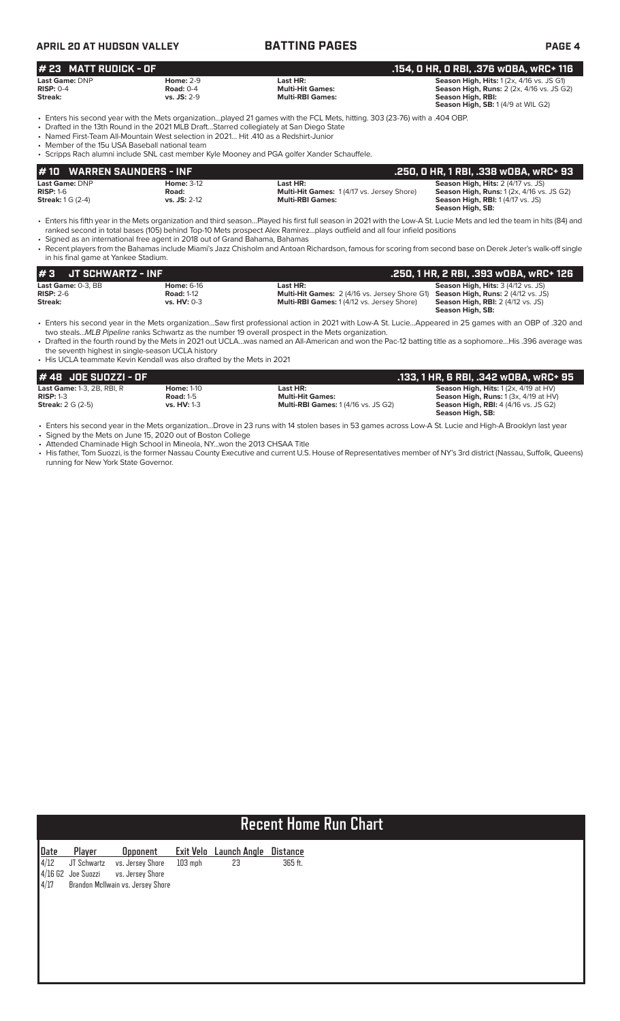| <b>APRIL 20 AT HUDSON VALLEY</b>                                 |                                                                                                                                                                                  | <b>BATTING PAGES</b>                                                                                                                                                                                                                                                                                                                                                                                                                                             | PAGE 4                                                                                                                                                                                                   |  |  |  |  |
|------------------------------------------------------------------|----------------------------------------------------------------------------------------------------------------------------------------------------------------------------------|------------------------------------------------------------------------------------------------------------------------------------------------------------------------------------------------------------------------------------------------------------------------------------------------------------------------------------------------------------------------------------------------------------------------------------------------------------------|----------------------------------------------------------------------------------------------------------------------------------------------------------------------------------------------------------|--|--|--|--|
| # 23 MATT RUDICK - OF                                            |                                                                                                                                                                                  |                                                                                                                                                                                                                                                                                                                                                                                                                                                                  | .154, O HR, O RBI, .376 wOBA, wRC+ 116<br><b>Season High, Hits: 1 (2x, 4/16 vs. JS G1)</b><br><b>Season High, Runs:</b> 2 (2x, 4/16 vs. JS G2)<br>Season High, RBI:<br>Season High, SB: 1(4/9 at WIL G2) |  |  |  |  |
| Last Game: DNP<br>$RISP: 0-4$<br>Streak:                         | <b>Home: 2-9</b><br><b>Road: 0-4</b><br>$vs.$ JS: $2-9$                                                                                                                          | Last HR:<br><b>Multi-Hit Games:</b><br><b>Multi-RBI Games:</b>                                                                                                                                                                                                                                                                                                                                                                                                   |                                                                                                                                                                                                          |  |  |  |  |
| • Member of the 15u USA Baseball national team                   | • Drafted in the 13th Round in the 2021 MLB DraftStarred collegiately at San Diego State<br>• Named First-Team All-Mountain West selection in 2021 Hit .410 as a Redshirt-Junior | • Enters his second year with the Mets organizationplayed 21 games with the FCL Mets, hitting. 303 (23-76) with a .404 OBP.<br>• Scripps Rach alumni include SNL cast member Kyle Mooney and PGA golfer Xander Schauffele.                                                                                                                                                                                                                                       |                                                                                                                                                                                                          |  |  |  |  |
| #10                                                              | <b>WARREN SAUNDERS - INF</b>                                                                                                                                                     |                                                                                                                                                                                                                                                                                                                                                                                                                                                                  | .250, 0 HR, 1 RBI, .338 w0BA, wRC+ 93                                                                                                                                                                    |  |  |  |  |
| <b>Last Game: DNP</b><br>$RISP: 1-6$<br><b>Streak:</b> 1 G (2-4) | <b>Home: 3-12</b><br>Road:<br>vs. JS: 2-12                                                                                                                                       | Last HR:<br><b>Multi-Hit Games: 1(4/17 vs. Jersey Shore)</b><br><b>Multi-RBI Games:</b>                                                                                                                                                                                                                                                                                                                                                                          | Season High, Hits: 2 (4/17 vs. JS)<br><b>Season High, Runs: 1 (2x, 4/16 vs. JS G2)</b><br><b>Season High, RBI:</b> 1 (4/17 vs. JS)<br>Season High, SB:                                                   |  |  |  |  |
| in his final game at Yankee Stadium.                             | • Signed as an international free agent in 2018 out of Grand Bahama, Bahamas                                                                                                     | • Enters his fifth year in the Mets organization and third seasonPlayed his first full season in 2021 with the Low-A St. Lucie Mets and led the team in hits (84) and<br>ranked second in total bases (105) behind Top-10 Mets prospect Alex Ramirezplays outfield and all four infield positions<br>• Recent players from the Bahamas include Miami's Jazz Chisholm and Antoan Richardson, famous for scoring from second base on Derek Jeter's walk-off single |                                                                                                                                                                                                          |  |  |  |  |

| I#3<br><b>JT SCHWARTZ - INF</b> |                   |                                                                                  | . .250, 1 HR, 2 RBI, .393 wOBA, wRC+ 126 ' |
|---------------------------------|-------------------|----------------------------------------------------------------------------------|--------------------------------------------|
| <b>Last Game: 0-3. BB</b>       | <b>Home: 6-16</b> | Last HR:                                                                         | <b>Season High, Hits: 3 (4/12 vs. JS)</b>  |
| $RISP: 2-6$                     | <b>Road: 1-12</b> | Multi-Hit Games: 2 (4/16 vs. Jersey Shore G1) Season High, Runs: 2 (4/12 vs. JS) |                                            |
| Streak:                         | vs. $HV: 0-3$     | <b>Multi-RBI Games: 1(4/12 vs. Jersey Shore)</b>                                 | <b>Season High, RBI:</b> 2 (4/12 vs. JS)   |
|                                 |                   |                                                                                  | Season High, SB:                           |

• Enters his second year in the Mets organization…Saw first professional action in 2021 with Low-A St. Lucie…Appeared in 25 games with an OBP of .320 and two steals...*MLB Pipeline* ranks Schwartz as the number 19 overall prospect in the Mets organization.

• Drafted in the fourth round by the Mets in 2021 out UCLA…was named an All-American and won the Pac-12 batting title as a sophomore…His .396 average was the seventh highest in single-season UCLA history

• His UCLA teammate Kevin Kendall was also drafted by the Mets in 2021

| $#48$ JDE SUDZZI - OF             |                    |                                            | .133, 1 HR, 6 RBI, .342 wOBA, wRC+ 95            |
|-----------------------------------|--------------------|--------------------------------------------|--------------------------------------------------|
| <b>Last Game: 1-3, 2B, RBI, R</b> | <b>Home: 1-10</b>  | Last HR:                                   | <b>Season High, Hits:</b> $1(2x, 4/19$ at $HV$ ) |
| $RISP: 1-3$                       | <b>Road: 1-5</b>   | <b>Multi-Hit Games:</b>                    | <b>Season High, Runs:</b> $1(3x, 4/19$ at $HV$ ) |
| <b>Streak:</b> $2 G (2-5)$        | <b>vs. HV: 1-3</b> | <b>Multi-RBI Games: 1 (4/16 vs. JS G2)</b> | <b>Season High, RBI:</b> 4 (4/16 vs. JS G2)      |
|                                   |                    |                                            | Season High, SB:                                 |

• Enters his second year in the Mets organization...Drove in 23 runs with 14 stolen bases in 53 games across Low-A St. Lucie and High-A Brooklyn last year • Signed by the Mets on June 15, 2020 out of Boston College

• Attended Chaminade High School in Mineola, NY...won the 2013 CHSAA Title

• His father, Tom Suozzi, is the former Nassau County Executive and current U.S. House of Representatives member of NY's 3rd district (Nassau, Suffolk, Queens) running for New York State Governor.

# **Recent Home Run Chart**

|  | Date Player Opponent Exit Velo Launch Angle Distance<br>4/12 JT Schwartz vs. Jersey Shore 103 mph 23 365 ft.<br>4/16 G2 Joe Suozzi vs. Jersey Shore<br>4/17 Brandon McIlwain vs. Jersey Shore |  |  |
|--|-----------------------------------------------------------------------------------------------------------------------------------------------------------------------------------------------|--|--|
|  |                                                                                                                                                                                               |  |  |
|  |                                                                                                                                                                                               |  |  |
|  |                                                                                                                                                                                               |  |  |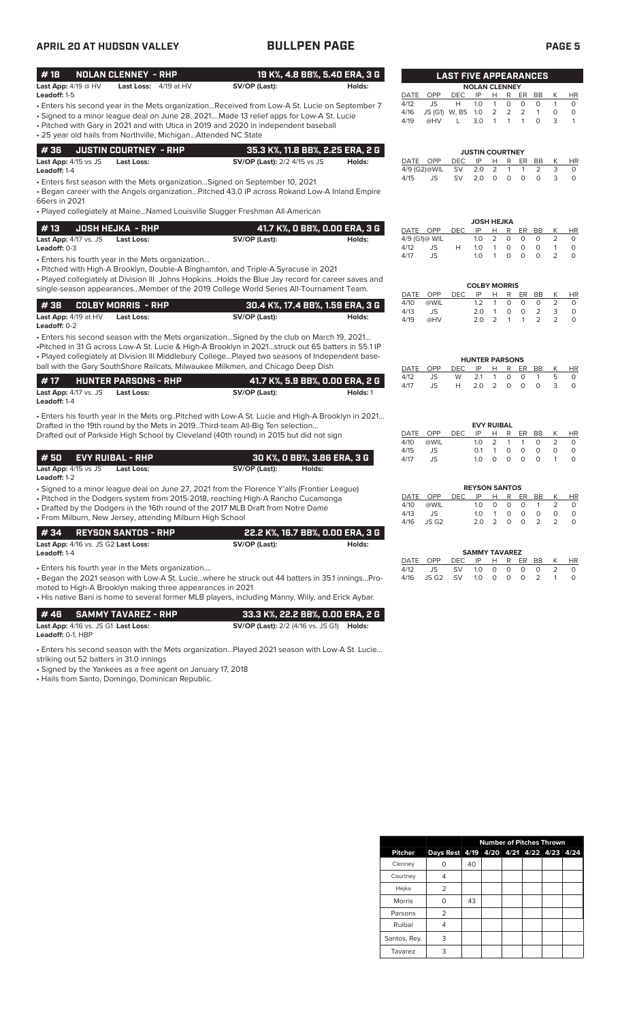# **APRIL 20 AT HUDSON VALLEY BULLPEN PAGE PAGE 5**

| #18                                                                                                            | <b>NOLAN CLENNEY - RHP</b>                        |                                                                                                                                                                                                                                                                                                                                                                                        | 19 K%, 4.8 BB%, 5.40 ERA, 3 G               |                              |                                        | <b>LAST FIVE APPEARANCES</b>          |                                                          |                                                      |                               |                              |                                    |                                       |                                          |
|----------------------------------------------------------------------------------------------------------------|---------------------------------------------------|----------------------------------------------------------------------------------------------------------------------------------------------------------------------------------------------------------------------------------------------------------------------------------------------------------------------------------------------------------------------------------------|---------------------------------------------|------------------------------|----------------------------------------|---------------------------------------|----------------------------------------------------------|------------------------------------------------------|-------------------------------|------------------------------|------------------------------------|---------------------------------------|------------------------------------------|
| Last App: 4/19 @ HV                                                                                            | Last Loss: 4/19 at HV                             | SV/OP (Last):                                                                                                                                                                                                                                                                                                                                                                          | Holds:                                      |                              |                                        |                                       | <b>NOLAN CLENNEY</b>                                     |                                                      |                               |                              |                                    |                                       |                                          |
| Leadoff: 1-5<br>• 25 year old hails from Northville, Michigan Attended NC State                                |                                                   | - Enters his second year in the Mets organizationReceived from Low-A St. Lucie on September 7<br>• Signed to a minor league deal on June 28, 2021Made 13 relief apps for Low-A St. Lucie<br>• Pitched with Gary in 2021 and with Utica in 2019 and 2020 in independent baseball                                                                                                        |                                             | DATE<br>4/12<br>4/16<br>4/19 | OPP<br>JS<br>@HV                       | <b>DEC</b><br>Н<br>JS (G1) W, BS<br>L | IP<br>1.0<br>1.0<br>3.0                                  | H.<br>$\mathbf{1}$<br>$\overline{2}$<br>$\mathbf{1}$ | R<br>0<br>$\overline{2}$<br>1 | ER<br>0<br>2<br>$\mathbf{1}$ | BB<br>$\circ$<br>$\mathbf{1}$<br>0 | К<br>$\mathbf{1}$<br>$\circ$<br>3     | HR<br>$\circ$<br>$\circ$<br>$\mathbf{1}$ |
|                                                                                                                |                                                   |                                                                                                                                                                                                                                                                                                                                                                                        |                                             |                              |                                        |                                       |                                                          |                                                      |                               |                              |                                    |                                       |                                          |
| #36<br>Last App: 4/15 vs JS<br>Leadoff: 1-4                                                                    | <b>JUSTIN COURTNEY - RHP</b><br><b>Last Loss:</b> | <b>SV/OP (Last):</b> 2/2 4/15 vs JS                                                                                                                                                                                                                                                                                                                                                    | 35.3 K%, 11.8 BB%, 2.25 ERA, 2 G<br>Holds:  | DATE OPP                     | 4/9 (G2)@WIL                           | DEC<br><b>SV</b>                      | <b>JUSTIN COURTNEY</b><br>IP<br>2.0                      | H<br>$\overline{2}$                                  | R<br>1                        | ER<br>$\mathbf{1}$           | <b>BB</b><br>2                     | Κ<br>3                                | HR<br>0                                  |
| 66ers in 2021                                                                                                  |                                                   | • Enters first season with the Mets organization Signed on September 10, 2021<br>• Began career with the Angels organizationPitched 43.0 IP across Rokand Low-A Inland Empire<br>• Played collegiately at MaineNamed Louisville Slugger Freshman All-American                                                                                                                          |                                             | 4/15                         | JS                                     | <b>SV</b>                             | 2.0                                                      | 0                                                    | $\circ$                       | 0                            | 0                                  | 3                                     | $\circ$                                  |
|                                                                                                                |                                                   |                                                                                                                                                                                                                                                                                                                                                                                        |                                             |                              |                                        |                                       |                                                          | JOSH HEJKA                                           |                               |                              |                                    |                                       |                                          |
| #13<br>Last App: 4/17 vs. JS<br>Leadoff: 0-3                                                                   | <b>JOSH HEJKA - RHP</b><br>Last Loss:             | SV/OP (Last):                                                                                                                                                                                                                                                                                                                                                                          | 41.7 K%, O BB%, O.OO ERA, 3 G<br>Holds:     | DATE OPP<br>4/12             | 4/9 (G1)@ WIL<br>JS                    | <b>DEC</b><br>H                       | IP<br>1.0<br>1.0                                         | н<br>2<br>$\mathbf{1}$                               | R<br>0<br>$\circ$             | ER<br>0<br>$\circ$           | BB<br>0<br>0                       | К<br>$\overline{2}$<br>$\mathbf{1}$   | HR<br>0<br>$\circ$                       |
| • Enters his fourth year in the Mets organization                                                              |                                                   | • Pitched with High-A Brooklyn, Double-A Binghamton, and Triple-A Syracuse in 2021<br>• Played collegiately at Division III Johns HopkinsHolds the Blue Jay record for career saves and                                                                                                                                                                                                |                                             | 4/17                         | JS                                     |                                       | 1.0<br><b>COLBY MORRIS</b>                               | $\mathbf{1}$                                         | 0                             | $\circ$                      | $\circ$                            | $\overline{2}$                        | $\circ$                                  |
|                                                                                                                |                                                   | single-season appearancesMember of the 2019 College World Series All-Tournament Team.                                                                                                                                                                                                                                                                                                  |                                             | DATE                         | OPP                                    | <b>DEC</b>                            | IP                                                       | H                                                    | R                             | ER BB                        |                                    | Κ                                     | HR                                       |
| #38<br>Last App: 4/19 at HV<br>Leadoff: 0-2                                                                    | <b>COLBY MORRIS - RHP</b><br>Last Loss:           | SV/OP (Last):                                                                                                                                                                                                                                                                                                                                                                          | 30.4 K%, 17.4 BB%, 1.59 ERA, 3 G<br>Holds:  | 4/10<br>4/13<br>4/19         | @WIL<br>JS<br>@HV                      |                                       | 1.2<br>2.0<br>2.0                                        | $\mathbf{1}$<br>$\mathbf{1}$<br>2                    | 0<br>0<br>$\mathbf{1}$        | 0<br>0<br>$\mathbf{1}$       | 0<br>2<br>2                        | $\overline{2}$<br>3<br>$\overline{2}$ | 0<br>$\circ$<br>$\circ$                  |
|                                                                                                                |                                                   | . Enters his second season with the Mets organization Signed by the club on March 19, 2021<br>-Pitched in 31 G across Low-A St. Lucie & High-A Brooklyn in 2021struck out 65 batters in 55.1 IP<br>. Played collegiately at Division III Middlebury CollegePlayed two seasons of Independent base-<br>ball with the Gary SouthShore Railcats, Milwaukee Milkmen, and Chicago Deep Dish |                                             | DATE                         | OPP                                    | DEC                                   | <b>HUNTER PARSONS</b><br>IP                              | H                                                    | R                             | ER                           | BB                                 | К                                     | HR                                       |
| #17<br>Last App: 4/17 vs. JS<br>Leadoff: 1-4                                                                   | <b>HUNTER PARSONS - RHP</b><br>Last Loss:         | SV/OP (Last):                                                                                                                                                                                                                                                                                                                                                                          | 41.7 K%, 5.9 BB%, 0.00 ERA, 2 G<br>Holds: 1 | 4/12<br>4/17                 | JS<br>JS                               | W<br>H                                | 2.1<br>2.0                                               | $\mathbf{1}$<br>2                                    | 0<br>$\circ$                  | $\mathbf 0$<br>$\circ$       | $\mathbf{1}$<br>$\circ$            | 5<br>3                                | 0<br>$\circ$                             |
|                                                                                                                |                                                   | . Enters his fourth year in the Mets org. Pitched with Low-A St. Lucie and High-A Brooklyn in 2021<br>Drafted in the 19th round by the Mets in 2019Third-team All-Big Ten selection<br>Drafted out of Parkside High School by Cleveland (40th round) in 2015 but did not sign                                                                                                          |                                             | DATE<br>4/10                 | OPP<br>@WIL                            | <b>DEC</b>                            | IP<br>1.0                                                | <b>EVY RUIBAL</b><br>н<br>$\overline{2}$             | R<br>$\mathbf{1}$             | ER<br>$\mathbf{1}$           | BB<br>0                            | К<br>$\overline{2}$                   | <b>HR</b><br>0                           |
| #50<br>Last App: 4/15 vs JS<br>Leadoff: 1-2                                                                    | <b>EVY RUIBAL - RHP</b><br><b>Last Loss:</b>      | 30 K%, 0 BB%, 3.86 ERA, 3 G<br>SV/OP (Last):                                                                                                                                                                                                                                                                                                                                           | Holds:                                      | 4/15<br>4/17                 | JS<br>JS                               |                                       | 0.1<br>1.0                                               | $\mathbf{1}$<br>0                                    | 0<br>$\circ$                  | 0<br>$\circ$                 | $\circ$<br>$\circ$                 | $\circ$<br>1                          | 0<br>$\circ$                             |
| • From Milburn, New Jersey, attending Milburn High School                                                      |                                                   | • Signed to a minor league deal on June 27, 2021 from the Florence Y'alls (Frontier League)<br>• Pitched in the Dodgers system from 2015-2018, reaching High-A Rancho Cucamonga<br>• Drafted by the Dodgers in the 16th round of the 2017 MLB Draft from Notre Dame                                                                                                                    |                                             | DATE<br>4/10<br>4/13<br>4/16 | OPP<br>@WIL<br>JS<br>JS G <sub>2</sub> | <b>DEC</b>                            | <b>REYSON SANTOS</b><br>IP<br>1.0<br>1.0<br>$2.0\quad 2$ | H<br>0<br>$\overline{1}$                             | R<br>0<br>$\circ$<br>0        | ER<br>0<br>$\circ$<br>0      | BB<br>$\mathbf{1}$<br>0<br>2       | Κ<br>2<br>0<br>$\overline{2}$         | HR<br>$\circ$<br>$\circ$<br>0            |
| #34                                                                                                            | <b>REYSON SANTOS - RHP</b>                        |                                                                                                                                                                                                                                                                                                                                                                                        | 22.2 K%, 16.7 BB%, 0.00 ERA, 3 G            |                              |                                        |                                       |                                                          |                                                      |                               |                              |                                    |                                       |                                          |
| Last App: 4/16 vs. JS G2 Last Loss:<br>Leadoff: 1-4                                                            |                                                   | SV/OP (Last):                                                                                                                                                                                                                                                                                                                                                                          | Holds:                                      |                              |                                        |                                       | <b>SAMMY TAVAREZ</b>                                     |                                                      |                               |                              |                                    |                                       |                                          |
| • Enters his fourth year in the Mets organization<br>moted to High-A Brooklyn making three appearances in 2021 |                                                   | - Began the 2021 season with Low-A St. Luciewhere he struck out 44 batters in 35.1 inningsPro-<br>• His native Bani is home to several former MLB players, including Manny, Willy, and Erick Aybar.                                                                                                                                                                                    |                                             | DATE OPP<br>4/12<br>4/16     | JS<br>JS G <sub>2</sub>                | <b>DEC</b><br><b>SV</b><br><b>SV</b>  | IP<br>1.0<br>1.0                                         | н<br>0<br>0                                          | R<br>0<br>0                   | ER<br>0<br>$\circ$           | BB<br>0<br>2                       | К<br>2<br>$\mathbf{1}$                | HR<br>0<br>0                             |
| #46<br>Last App: 4/16 vs. JS G1 Last Loss:<br>Leadoff: 0-1, HBP                                                | <b>SAMMY TAVAREZ - RHP</b>                        | <b>SV/OP (Last):</b> 2/2 (4/16 vs. JS G1) <b>Holds:</b>                                                                                                                                                                                                                                                                                                                                | 33.3 K%, 22.2 BB%, 0.00 ERA, 2 G            |                              |                                        |                                       |                                                          |                                                      |                               |                              |                                    |                                       |                                          |
| striking out 52 batters in 31.0 innings<br>• Signed by the Yankees as a free agent on January 17, 2018         |                                                   | . Enters his second season with the Mets organizationPlayed 2021 season with Low-A St. Lucie                                                                                                                                                                                                                                                                                           |                                             |                              |                                        |                                       |                                                          |                                                      |                               |                              |                                    |                                       |                                          |

• Hails from Santo, Domingo, Dominican Republic.

|                | <b>Number of Pitches Thrown</b>         |    |  |  |  |  |  |  |
|----------------|-----------------------------------------|----|--|--|--|--|--|--|
| <b>Pitcher</b> | Days Rest 4/19 4/20 4/21 4/22 4/23 4/24 |    |  |  |  |  |  |  |
| Clenney        |                                         | 40 |  |  |  |  |  |  |
| Courtney       |                                         |    |  |  |  |  |  |  |
| Hejka          | 2                                       |    |  |  |  |  |  |  |
| <b>Morris</b>  |                                         | 43 |  |  |  |  |  |  |
| Parsons        | 2                                       |    |  |  |  |  |  |  |
| Ruibal         | 4                                       |    |  |  |  |  |  |  |
| Santos, Rey.   | 3                                       |    |  |  |  |  |  |  |
| Tavarez        | 3                                       |    |  |  |  |  |  |  |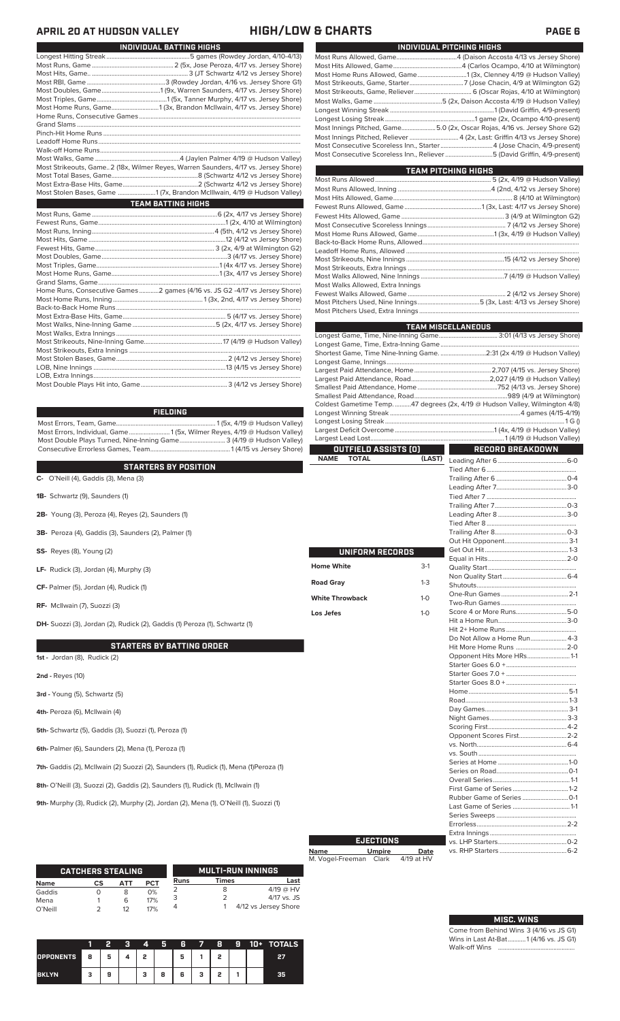## **APRIL 20 AT HUDSON VALLEY HIGH/LOW & CHARTS PAGE 6**

| <b>INDIVIDUAL BATTING HIGHS</b>                                                    |
|------------------------------------------------------------------------------------|
|                                                                                    |
|                                                                                    |
|                                                                                    |
|                                                                                    |
|                                                                                    |
|                                                                                    |
| Most Home Runs, Game1 (3x, Brandon McIlwain, 4/17 vs. Jersey Shore)                |
|                                                                                    |
|                                                                                    |
|                                                                                    |
|                                                                                    |
|                                                                                    |
|                                                                                    |
| Most Strikeouts, Game2 (18x, Wilmer Reyes, Warren Saunders, 4/17 vs. Jersey Shore) |
|                                                                                    |
|                                                                                    |
| Most Stolen Bases, Game 1 (7x, Brandon McIllwain, 4/19 @ Hudson Valley)            |
|                                                                                    |
| <b>TEAM BATTING HIGHS</b>                                                          |
|                                                                                    |
|                                                                                    |
|                                                                                    |
|                                                                                    |
|                                                                                    |
|                                                                                    |
|                                                                                    |
|                                                                                    |
|                                                                                    |
|                                                                                    |
| Home Runs, Consecutive Games 2 games (4/16 vs. JS G2 -4/17 vs Jersey Shore)        |
|                                                                                    |
|                                                                                    |
|                                                                                    |
|                                                                                    |
|                                                                                    |
|                                                                                    |
|                                                                                    |
|                                                                                    |
|                                                                                    |
|                                                                                    |

### **FIELDING**

Most Errors, Team, Game............................................................. 1 (5x, 4/19 @ Hudson Valley) Most Errors, Individual, Game......................... 1 (5x, Wilmer Reyes, 4/19 @ Hudson Valley) Most Double Plays Turned, Nine-Inning Game............................ 3 (4/19 @ Hudson Valley) Consecutive Errorless Games, Team.

### **STARTERS BY POSITION**

**C-** O'Neill (4), Gaddis (3), Mena (3)

- **1B-** Schwartz (9), Saunders (1)
- **2B-** Young (3), Peroza (4), Reyes (2), Saunders (1)
- **3B-** Peroza (4), Gaddis (3), Saunders (2), Palmer (1)
- **SS-** Reyes (8), Young (2)
- **LF-** Rudick (3), Jordan (4), Murphy (3)
- **CF-** Palmer (5), Jordan (4), Rudick (1)
- **RF-** McIlwain (7), Suozzi (3)

**DH-** Suozzi (3), Jordan (2), Rudick (2), Gaddis (1) Peroza (1), Schwartz (1)

### **STARTERS BY BATTING ORDER**

**1st -** Jordan (8), Rudick (2)

- **2nd -** Reyes (10)
- **3rd** Young (5), Schwartz (5)
- **4th-** Peroza (6), McIlwain (4)
- **5th-** Schwartz (5), Gaddis (3), Suozzi (1), Peroza (1)
- **6th-** Palmer (6), Saunders (2), Mena (1), Peroza (1)

7th- Gaddis (2), McIlwain (2) Suozzi (2), Saunders (1), Rudick (1), Mena (1)Peroza (1)

- **8th-** O'Neill (3), Suozzi (2), Gaddis (2), Saunders (1), Rudick (1), McIlwain (1)
- **9th-** Murphy (3), Rudick (2), Murphy (2), Jordan (2), Mena (1), O'Neill (1), Suozzi (1)

|         | <b>CATCHERS STEALING</b> |     |            |             |              | <b>MULTI-RUN INNINGS</b> |
|---------|--------------------------|-----|------------|-------------|--------------|--------------------------|
| Name    | СS                       | АТТ | <b>PCT</b> | <b>Runs</b> | <b>Times</b> | Last                     |
| Gaddis  |                          | 8   | 0%         |             | 8            | $4/19$ @ HV              |
| Mena    |                          | 6   | 17%        | 3           |              | 4/17 vs. JS              |
| O'Neill |                          | 12  | 17%        | 4           |              | 4/12 vs Jersey Shore     |

|                  |   |   | о | 4 | 5 | 6 |   | 8 | Ð | 10+ | <b>TOTALS</b> |
|------------------|---|---|---|---|---|---|---|---|---|-----|---------------|
| <b>OPPONENTS</b> | 8 | 5 |   | , |   | 5 |   | o |   |     | 27            |
| <b>BKLYN</b>     | 3 | 9 |   | з | 8 | 6 | з | , |   |     | 35            |

| INDIVIDUAL PITCHING HIGHS                                                  |
|----------------------------------------------------------------------------|
|                                                                            |
|                                                                            |
|                                                                            |
|                                                                            |
|                                                                            |
|                                                                            |
|                                                                            |
|                                                                            |
| Most Innings Pitched, Game5.0 (2x, Oscar Rojas, 4/16 vs. Jersey Shore G2)  |
| Most Innings Pitched, Reliever  4 (2x, Last: Griffin 4/13 vs Jersey Shore) |
| Most Consecutive Scoreless Inn., Starter4 (Jose Chacin, 4/9-present)       |
| Most Consecutive Scoreless Inn., Reliever 5 (David Griffin, 4/9-present)   |
|                                                                            |

| <b>TEAM PITCHING HIGHS</b>                                                |  |
|---------------------------------------------------------------------------|--|
|                                                                           |  |
|                                                                           |  |
|                                                                           |  |
|                                                                           |  |
|                                                                           |  |
|                                                                           |  |
| Most Home Runs Allowed, Game……………………………………………1 (3x, 4/19 @ Hudson Valley) |  |
|                                                                           |  |
|                                                                           |  |
|                                                                           |  |
|                                                                           |  |
|                                                                           |  |
| Most Walks Allowed, Extra Innings                                         |  |
|                                                                           |  |
|                                                                           |  |
|                                                                           |  |

|                             |         | <b>TEAM MISCELLANEOUS</b>                                                    |  |  |  |  |
|-----------------------------|---------|------------------------------------------------------------------------------|--|--|--|--|
|                             |         |                                                                              |  |  |  |  |
|                             |         |                                                                              |  |  |  |  |
|                             |         | Shortest Game, Time Nine-Inning Game. 2:31 (2x 4/19 @ Hudson Valley)         |  |  |  |  |
|                             |         |                                                                              |  |  |  |  |
|                             |         |                                                                              |  |  |  |  |
|                             |         |                                                                              |  |  |  |  |
|                             |         |                                                                              |  |  |  |  |
|                             |         |                                                                              |  |  |  |  |
|                             |         | Coldest Gametime Temp. 47 degrees (2x, 4/19 @ Hudson Valley, Wilmington 4/8) |  |  |  |  |
|                             |         |                                                                              |  |  |  |  |
|                             |         |                                                                              |  |  |  |  |
|                             |         |                                                                              |  |  |  |  |
|                             |         |                                                                              |  |  |  |  |
| <b>OUTFIELD ASSISTS [O]</b> |         | <b>RECORD BREAKDOWN</b>                                                      |  |  |  |  |
| <b>NAME</b><br><b>TOTAL</b> | (LAST)  |                                                                              |  |  |  |  |
|                             |         |                                                                              |  |  |  |  |
|                             |         |                                                                              |  |  |  |  |
|                             |         |                                                                              |  |  |  |  |
|                             |         |                                                                              |  |  |  |  |
|                             |         |                                                                              |  |  |  |  |
|                             |         |                                                                              |  |  |  |  |
|                             |         |                                                                              |  |  |  |  |
|                             |         |                                                                              |  |  |  |  |
|                             |         |                                                                              |  |  |  |  |
| UNIFORM RECORDS             |         |                                                                              |  |  |  |  |
|                             |         |                                                                              |  |  |  |  |
| <b>Home White</b>           | $3-1$   |                                                                              |  |  |  |  |
| <b>Road Gray</b>            | $1 - 3$ |                                                                              |  |  |  |  |
|                             |         |                                                                              |  |  |  |  |
| <b>White Throwback</b>      | $1-0$   |                                                                              |  |  |  |  |
|                             |         |                                                                              |  |  |  |  |
| Los Jefes                   | $1-0$   |                                                                              |  |  |  |  |
|                             |         |                                                                              |  |  |  |  |
|                             |         | Do Not Allow a Home Run 4-3                                                  |  |  |  |  |
|                             |         | Hit More Home Runs 2-0                                                       |  |  |  |  |
|                             |         | Opponent Hits More HRs 1-1                                                   |  |  |  |  |
|                             |         |                                                                              |  |  |  |  |
|                             |         |                                                                              |  |  |  |  |
|                             |         |                                                                              |  |  |  |  |
|                             |         |                                                                              |  |  |  |  |
|                             |         |                                                                              |  |  |  |  |
|                             |         |                                                                              |  |  |  |  |
|                             |         |                                                                              |  |  |  |  |
|                             |         |                                                                              |  |  |  |  |
|                             |         | Opponent Scores First 2-2                                                    |  |  |  |  |
|                             |         |                                                                              |  |  |  |  |
|                             |         |                                                                              |  |  |  |  |
|                             |         |                                                                              |  |  |  |  |
|                             |         |                                                                              |  |  |  |  |
|                             |         |                                                                              |  |  |  |  |
|                             |         |                                                                              |  |  |  |  |
|                             |         |                                                                              |  |  |  |  |
|                             |         |                                                                              |  |  |  |  |
|                             |         |                                                                              |  |  |  |  |
|                             |         |                                                                              |  |  |  |  |

# **Name Umpire Date** M. Vogel-Freeman Clark 4/19 at HV **EJECTIONS**

Extra Innings ..................................................... vs. LHP Starters..........................................0-2

vs. RHP Starters .

| <b>MISC. WINS</b> |  |
|-------------------|--|
|                   |  |

Come from Behind Wins 3 (4/16 vs JS G1) Wins in Last At-Bat...........1 (4/16 vs. JS G1) Walk-off Wins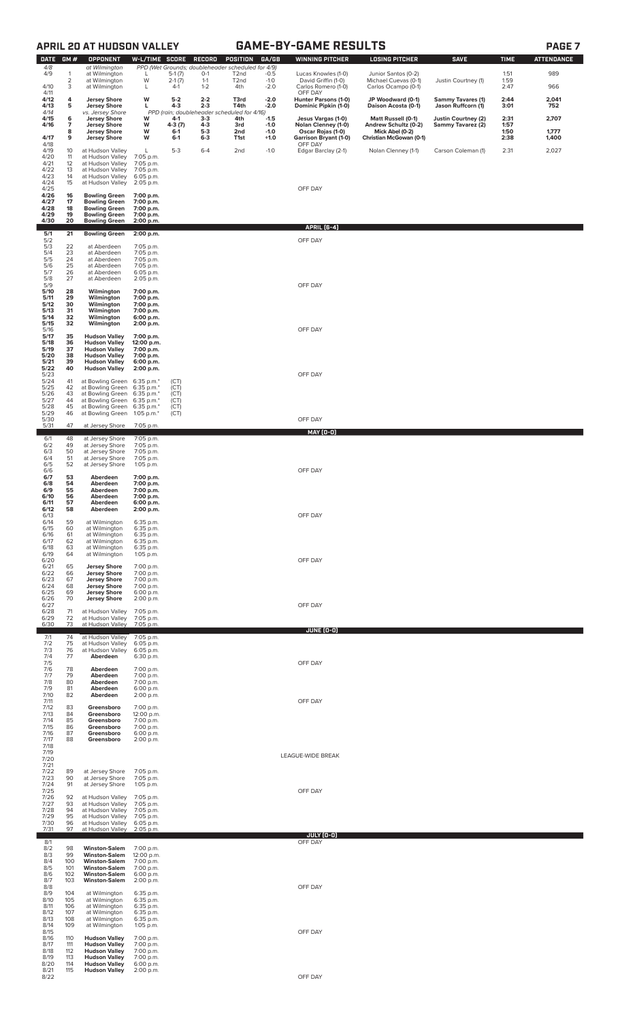# **APRIL 20 AT HUDSON VALLEY GAME-BY-GAME RESULTS PAGE 7**

| <b>DATE</b>           | GM#              | <b>OPPONENT</b>                                            | W-L/TIME SCORE                       |                   | RECORD             | POSITION                                                               | GA/GB            | <b>WINNING PITCHER</b>                     | <b>LOSING PITCHER</b>                             | <b>SAVE</b>                              | <b>TIME</b>  | <b>ATTENDANCE</b> |
|-----------------------|------------------|------------------------------------------------------------|--------------------------------------|-------------------|--------------------|------------------------------------------------------------------------|------------------|--------------------------------------------|---------------------------------------------------|------------------------------------------|--------------|-------------------|
| 4/8<br>4/9            | 1                | at Wilmington<br>at Wilmington                             | L                                    | $5-1(7)$          | $O-1$              | PPD (Wet Grounds; doubleheader scheduled for 4/9)<br>T <sub>2</sub> nd | $-0.5$           | Lucas Knowles (1-0)                        | Junior Santos (0-2)                               |                                          | 1:51         | 989               |
| 4/10                  | 2<br>3           | at Wilmington<br>at Wilmington                             | W<br>L                               | $2-1(7)$<br>$4-1$ | $1 - 1$<br>$1 - 2$ | T <sub>2</sub> nd<br>4th                                               | $-1.0$<br>$-2.0$ | David Griffin (1-0)<br>Carlos Romero (1-0) | Michael Cuevas (0-1)<br>Carlos Ocampo (0-1)       | Justin Courtney (1)                      | 1:59<br>2:47 | 966               |
| 4/11<br>4/12          | 4                | <b>Jersey Shore</b>                                        | w                                    | $5-2$             | $2 - 2$            | T3rd                                                                   | $-2.0$           | OFF DAY<br>Hunter Parsons (1-0)            | JP Woodward (0-1)                                 | <b>Sammy Tavares (1)</b>                 | 2:44         | 2,041             |
| 4/13<br>4/14          | 5                | <b>Jersey Shore</b><br>vs. Jersey Shore                    | г                                    | 4-3               | $2 - 3$            | T4th<br>PPD (rain; doubleheader scheduled for 4/16)                    | $-2.0$           | Dominic Pipkin (1-0)                       | Daison Acosta (0-1)                               | Jason Ruffcorn (1)                       | 3:01         | 752               |
| 4/15<br>4/16          | 6<br>7           | <b>Jersey Shore</b><br><b>Jersey Shore</b>                 | W<br>w                               | 4-1<br>4-3 (7)    | $3-3$<br>$4 - 3$   | 4th<br>3rd                                                             | $-1.5$<br>$-1.0$ | Jesus Vargas (1-0)<br>Nolan Clenney (1-0)  | <b>Matt Russell (0-1)</b><br>Andrew Schultz (0-2) | Justin Courtney (2)<br>Sammy Tavarez (2) | 2:31<br>1:57 | 2,707             |
| 4/17                  | 8<br>9           | <b>Jersey Shore</b><br><b>Jersey Shore</b>                 | W<br>W                               | 6-1<br>6-1        | $5-3$<br>$6 - 3$   | 2nd<br>T1st                                                            | $-1.0$<br>$+1.0$ | Oscar Rojas (1-0)<br>Garrison Bryant (1-0) | Mick Abel (0-2)<br>Christian McGowan (0-1)        |                                          | 1:50<br>2:38 | 1,777<br>1,400    |
| 4/18<br>4/19          | 10               | at Hudson Valley                                           | L                                    | $5-3$             | $6 - 4$            | 2nd                                                                    | $-1.0$           | OFF DAY<br>Edgar Barclay (2-1)             | Nolan Clenney (1-1)                               | Carson Coleman (1)                       | 2:31         | 2,027             |
| 4/20<br>4/21          | 11<br>12         | at Hudson Valley<br>at Hudson Valley                       | 7:05 p.m.<br>7:05 p.m.               |                   |                    |                                                                        |                  |                                            |                                                   |                                          |              |                   |
| 4/22<br>4/23          | 13<br>14         | at Hudson Valley<br>at Hudson Valley                       | 7:05 p.m.<br>6:05 p.m.               |                   |                    |                                                                        |                  |                                            |                                                   |                                          |              |                   |
| 4/24<br>4/25          | 15               | at Hudson Valley                                           | 2:05 p.m.                            |                   |                    |                                                                        |                  | OFF DAY                                    |                                                   |                                          |              |                   |
| 4/26<br>4/27          | 16<br>17         | <b>Bowling Green</b><br><b>Bowling Green</b>               | 7:00 p.m.<br>7:00 p.m.               |                   |                    |                                                                        |                  |                                            |                                                   |                                          |              |                   |
| 4/28<br>4/29          | 18<br>19         | <b>Bowling Green</b><br><b>Bowling Green</b>               | 7:00 p.m.<br>7:00 p.m.               |                   |                    |                                                                        |                  |                                            |                                                   |                                          |              |                   |
| 4/30                  | 20               | <b>Bowling Green</b>                                       | 2:00 p.m.                            |                   |                    |                                                                        |                  | <b>APRIL [6-4]</b>                         |                                                   |                                          |              |                   |
| 5/1<br>5/2            | 21               | <b>Bowling Green</b>                                       | 2:00 p.m.                            |                   |                    |                                                                        |                  | OFF DAY                                    |                                                   |                                          |              |                   |
| 5/3<br>5/4            | 22<br>23         | at Aberdeen<br>at Aberdeen                                 | 7:05 p.m.<br>7:05 p.m.               |                   |                    |                                                                        |                  |                                            |                                                   |                                          |              |                   |
| 5/5<br>5/6            | 24<br>25         | at Aberdeen<br>at Aberdeen                                 | 7:05 p.m.<br>7:05 p.m.               |                   |                    |                                                                        |                  |                                            |                                                   |                                          |              |                   |
| 5/7<br>5/8            | 26<br>27         | at Aberdeen<br>at Aberdeen                                 | 6:05 p.m.<br>2:05 p.m.               |                   |                    |                                                                        |                  |                                            |                                                   |                                          |              |                   |
| 5/9<br>5/10           | 28               | Wilmington                                                 | 7:00 p.m.                            |                   |                    |                                                                        |                  | OFF DAY                                    |                                                   |                                          |              |                   |
| 5/11<br>5/12          | 29<br>30         | Wilmington<br>Wilmington                                   | 7:00 p.m.<br>7:00 p.m.               |                   |                    |                                                                        |                  |                                            |                                                   |                                          |              |                   |
| 5/13<br>5/14<br>5/15  | 31<br>32<br>32   | Wilmington<br>Wilmington<br>Wilmington                     | 7:00 p.m.<br>6:00 p.m.<br>2:00 p.m.  |                   |                    |                                                                        |                  |                                            |                                                   |                                          |              |                   |
| 5/16<br>5/17          | 35               | <b>Hudson Valley</b>                                       | 7:00 p.m.                            |                   |                    |                                                                        |                  | OFF DAY                                    |                                                   |                                          |              |                   |
| 5/18<br>5/19          | 36<br>37         | <b>Hudson Valley</b><br><b>Hudson Valley</b>               | 12:00 p.m.<br>7:00 p.m.              |                   |                    |                                                                        |                  |                                            |                                                   |                                          |              |                   |
| 5/20<br>5/21          | 38<br>39         | <b>Hudson Valley</b><br><b>Hudson Valley</b>               | 7:00 p.m.<br>6:00 p.m.               |                   |                    |                                                                        |                  |                                            |                                                   |                                          |              |                   |
| 5/22<br>5/23          | 40               | <b>Hudson Valley</b>                                       | 2:00 p.m.                            |                   |                    |                                                                        |                  | OFF DAY                                    |                                                   |                                          |              |                   |
| 5/24<br>5/25          | 41<br>42         | at Bowling Green 6:35 p.m.*<br>at Bowling Green            | 6:35 p.m.*                           | (CT)<br>(CT)      |                    |                                                                        |                  |                                            |                                                   |                                          |              |                   |
| 5/26<br>5/27          | 43<br>44         | at Bowling Green<br>at Bowling Green 6:35 p.m.*            | 6:35 p.m.*                           | (CT)<br>(CT)      |                    |                                                                        |                  |                                            |                                                   |                                          |              |                   |
| 5/28<br>5/29          | 45<br>46         | at Bowling Green 6:35 p.m.*<br>at Bowling Green 1:05 p.m.* |                                      | (CT)<br>(CT)      |                    |                                                                        |                  |                                            |                                                   |                                          |              |                   |
| 5/30<br>5/31          | 47               | at Jersey Shore                                            | 7:05 p.m.                            |                   |                    |                                                                        |                  | OFF DAY                                    |                                                   |                                          |              |                   |
| 6/1                   | 48               | at Jersey Shore                                            | 7:05 p.m.                            |                   |                    |                                                                        |                  | <b>MAY (0-0)</b>                           |                                                   |                                          |              |                   |
| 6/2<br>$6/3$<br>$6/4$ | 49<br>50         | at Jersey Shore<br>at Jersey Shore                         | 7:05 p.m.<br>7:05 p.m.               |                   |                    |                                                                        |                  |                                            |                                                   |                                          |              |                   |
| 6/5                   | 51<br>52         | at Jersey Shore<br>at Jersey Shore                         | 7:05 p.m.<br>1:05 p.m.               |                   |                    |                                                                        |                  |                                            |                                                   |                                          |              |                   |
| 6/6<br>6/7            | 53               | Aberdeen                                                   | 7:00 p.m.                            |                   |                    |                                                                        |                  | OFF DAY                                    |                                                   |                                          |              |                   |
| 6/8<br>6/9            | 54<br>55         | Aberdeen<br>Aberdeen                                       | 7:00 p.m.<br>7:00 p.m.               |                   |                    |                                                                        |                  |                                            |                                                   |                                          |              |                   |
| 6/10<br>6/11          | 56<br>57         | Aberdeen<br>Aberdeen                                       | 7:00 p.m.<br>6:00 p.m.               |                   |                    |                                                                        |                  |                                            |                                                   |                                          |              |                   |
| 6/12<br>6/13          | 58               | Aberdeen                                                   | 2:00 p.m.                            |                   |                    |                                                                        |                  | OFF DAY                                    |                                                   |                                          |              |                   |
| 6/14<br>6/15          | 59<br>60         | at Wilmington<br>at Wilmington                             | 6:35 p.m.<br>6:35 p.m.               |                   |                    |                                                                        |                  |                                            |                                                   |                                          |              |                   |
| 6/16<br>6/17<br>6/18  | 61<br>62<br>63   | at Wilmington<br>at Wilmington<br>at Wilmington            | 6:35 p.m.<br>6:35 p.m.<br>6:35 p.m.  |                   |                    |                                                                        |                  |                                            |                                                   |                                          |              |                   |
| 6/19<br>6/20          | 64               | at Wilmington                                              | 1:05 p.m.                            |                   |                    |                                                                        |                  | OFF DAY                                    |                                                   |                                          |              |                   |
| 6/21<br>6/22          | 65<br>66         | <b>Jersey Shore</b><br><b>Jersey Shore</b>                 | 7:00 p.m.<br>7:00 p.m.               |                   |                    |                                                                        |                  |                                            |                                                   |                                          |              |                   |
| 6/23<br>6/24          | 67<br>68         | <b>Jersey Shore</b><br><b>Jersey Shore</b>                 | 7:00 p.m.<br>7:00 p.m.               |                   |                    |                                                                        |                  |                                            |                                                   |                                          |              |                   |
| 6/25<br>6/26          | 69<br>70         | <b>Jersey Shore</b><br><b>Jersey Shore</b>                 | 6:00 p.m.<br>2:00 p.m.               |                   |                    |                                                                        |                  |                                            |                                                   |                                          |              |                   |
| 6/27<br>6/28          | 71               | at Hudson Valley                                           | 7:05 p.m.                            |                   |                    |                                                                        |                  | OFF DAY                                    |                                                   |                                          |              |                   |
| 6/29<br>6/30          | 72<br>73         | at Hudson Valley<br>at Hudson Valley                       | 7:05 p.m.<br>7:05 p.m.               |                   |                    |                                                                        |                  |                                            |                                                   |                                          |              |                   |
| 7/1                   | 74               | at Hudson Valley                                           | 7:05 p.m.                            |                   |                    |                                                                        |                  | JUNE (0-0)                                 |                                                   |                                          |              |                   |
| 7/2<br>7/3            | 75<br>76         | at Hudson Valley<br>at Hudson Valley                       | 6:05 p.m.<br>6:05 p.m.               |                   |                    |                                                                        |                  |                                            |                                                   |                                          |              |                   |
| 7/4<br>7/5            | 77               | Aberdeen                                                   | 6:30 p.m.                            |                   |                    |                                                                        |                  | OFF DAY                                    |                                                   |                                          |              |                   |
| 7/6<br>7/7            | 78<br>79         | Aberdeen<br>Aberdeen                                       | 7:00 p.m.<br>7:00 p.m.               |                   |                    |                                                                        |                  |                                            |                                                   |                                          |              |                   |
| 7/8<br>7/9<br>7/10    | 80<br>81         | Aberdeen<br>Aberdeen                                       | 7:00 p.m.<br>6:00 p.m.               |                   |                    |                                                                        |                  |                                            |                                                   |                                          |              |                   |
| 7/11<br>7/12          | 82<br>83         | Aberdeen<br>Greensboro                                     | 2:00 p.m.<br>7:00 p.m.               |                   |                    |                                                                        |                  | OFF DAY                                    |                                                   |                                          |              |                   |
| 7/13<br>7/14          | 84<br>85         | Greensboro<br>Greensboro                                   | 12:00 p.m.<br>7:00 p.m.              |                   |                    |                                                                        |                  |                                            |                                                   |                                          |              |                   |
| 7/15<br>7/16          | 86<br>87         | Greensboro<br>Greensboro                                   | 7:00 p.m.<br>6:00 p.m.               |                   |                    |                                                                        |                  |                                            |                                                   |                                          |              |                   |
| 7/17<br>7/18          | 88               | Greensboro                                                 | 2:00 p.m.                            |                   |                    |                                                                        |                  |                                            |                                                   |                                          |              |                   |
| 7/19<br>7/20          |                  |                                                            |                                      |                   |                    |                                                                        |                  | LEAGUE-WIDE BREAK                          |                                                   |                                          |              |                   |
| 7/21<br>7/22          | 89               | at Jersey Shore                                            | 7:05 p.m.                            |                   |                    |                                                                        |                  |                                            |                                                   |                                          |              |                   |
| 7/23<br>7/24          | 90<br>91         | at Jersey Shore<br>at Jersey Shore                         | 7:05 p.m.<br>1:05 p.m.               |                   |                    |                                                                        |                  |                                            |                                                   |                                          |              |                   |
| 7/25<br>7/26          | 92               | at Hudson Valley                                           | 7:05 p.m.                            |                   |                    |                                                                        |                  | OFF DAY                                    |                                                   |                                          |              |                   |
| 7/27<br>7/28          | 93<br>94         | at Hudson Valley<br>at Hudson Valley                       | 7:05 p.m.<br>7:05 p.m.               |                   |                    |                                                                        |                  |                                            |                                                   |                                          |              |                   |
| 7/29<br>7/30          | 95<br>96         | at Hudson Valley<br>at Hudson Valley                       | 7:05 p.m.<br>6:05 p.m.               |                   |                    |                                                                        |                  |                                            |                                                   |                                          |              |                   |
| 7/31                  | 97               | at Hudson Valley                                           | 2:05 p.m.                            |                   |                    |                                                                        |                  | JULY (0-0)                                 |                                                   |                                          |              |                   |
| 8/1<br>8/2<br>8/3     | 98               | <b>Winston-Salem</b><br><b>Winston-Salem</b>               | 7:00 p.m.                            |                   |                    |                                                                        |                  | OFF DAY                                    |                                                   |                                          |              |                   |
| 8/4<br>8/5            | 99<br>100<br>101 | <b>Winston-Salem</b><br><b>Winston-Salem</b>               | 12:00 p.m.<br>7:00 p.m.<br>7:00 p.m. |                   |                    |                                                                        |                  |                                            |                                                   |                                          |              |                   |
| 8/6<br>8/7            | 102<br>103       | <b>Winston-Salem</b><br><b>Winston-Salem</b>               | 6:00 p.m.<br>2:00 p.m.               |                   |                    |                                                                        |                  |                                            |                                                   |                                          |              |                   |
| 8/8<br>8/9            | 104              | at Wilmington                                              | 6:35 p.m.                            |                   |                    |                                                                        |                  | OFF DAY                                    |                                                   |                                          |              |                   |
| 8/10<br>8/11          | 105<br>106       | at Wilmington<br>at Wilmington                             | 6:35 p.m.<br>6:35 p.m.               |                   |                    |                                                                        |                  |                                            |                                                   |                                          |              |                   |
| 8/12<br>8/13          | 107<br>108       | at Wilmington<br>at Wilmington                             | 6:35 p.m.<br>6:35 p.m.               |                   |                    |                                                                        |                  |                                            |                                                   |                                          |              |                   |
| 8/14<br>8/15          | 109              | at Wilmington                                              | 1:05 p.m.                            |                   |                    |                                                                        |                  | OFF DAY                                    |                                                   |                                          |              |                   |
| 8/16<br>8/17          | 110<br>111       | <b>Hudson Valley</b><br><b>Hudson Valley</b>               | 7:00 p.m.<br>7:00 p.m.               |                   |                    |                                                                        |                  |                                            |                                                   |                                          |              |                   |
| 8/18<br>8/19          | 112<br>113       | <b>Hudson Valley</b><br><b>Hudson Valley</b>               | 7:00 p.m.<br>7:00 p.m.               |                   |                    |                                                                        |                  |                                            |                                                   |                                          |              |                   |
| 8/20<br>8/21          | 114              | <b>Hudson Valley</b><br>115 Hudson Valley 2:00 p.m.        | 6:00 p.m.                            |                   |                    |                                                                        |                  | OFF DAY                                    |                                                   |                                          |              |                   |
| 8/22                  |                  |                                                            |                                      |                   |                    |                                                                        |                  |                                            |                                                   |                                          |              |                   |